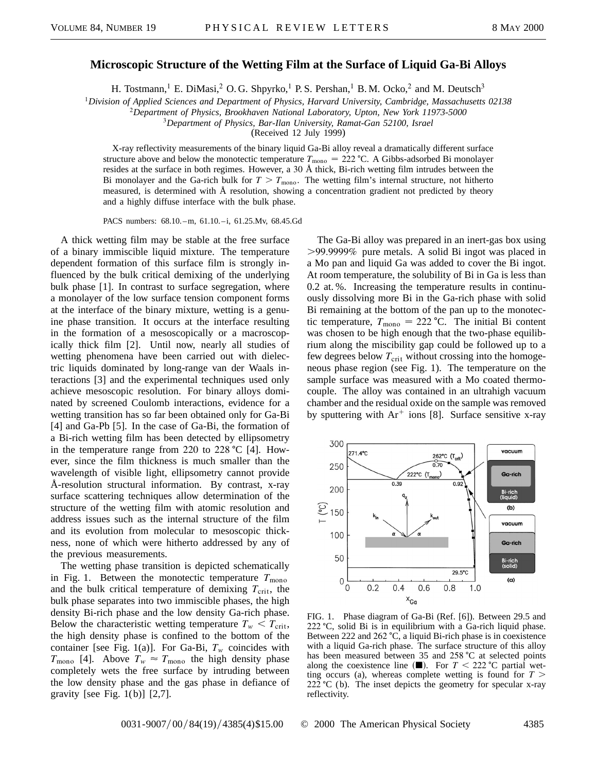## **Microscopic Structure of the Wetting Film at the Surface of Liquid Ga-Bi Alloys**

H. Tostmann,<sup>1</sup> E. DiMasi,<sup>2</sup> O. G. Shpyrko,<sup>1</sup> P. S. Pershan,<sup>1</sup> B. M. Ocko,<sup>2</sup> and M. Deutsch<sup>3</sup>

<sup>1</sup>*Division of Applied Sciences and Department of Physics, Harvard University, Cambridge, Massachusetts 02138*

<sup>2</sup>*Department of Physics, Brookhaven National Laboratory, Upton, New York 11973-5000*

<sup>3</sup>*Department of Physics, Bar-Ilan University, Ramat-Gan 52100, Israel*

(Received 12 July 1999)

X-ray reflectivity measurements of the binary liquid Ga-Bi alloy reveal a dramatically different surface structure above and below the monotectic temperature  $T_{\text{mono}} = 222 \text{ °C}$ . A Gibbs-adsorbed Bi monolayer resides at the surface in both regimes. However, a 30 Å thick, Bi-rich wetting film intrudes between the Bi monolayer and the Ga-rich bulk for  $T > T_{\text{mono}}$ . The wetting film's internal structure, not hitherto measured, is determined with Å resolution, showing a concentration gradient not predicted by theory and a highly diffuse interface with the bulk phase.

PACS numbers: 68.10.–m, 61.10.–i, 61.25.Mv, 68.45.Gd

A thick wetting film may be stable at the free surface of a binary immiscible liquid mixture. The temperature dependent formation of this surface film is strongly influenced by the bulk critical demixing of the underlying bulk phase [1]. In contrast to surface segregation, where a monolayer of the low surface tension component forms at the interface of the binary mixture, wetting is a genuine phase transition. It occurs at the interface resulting in the formation of a mesoscopically or a macroscopically thick film [2]. Until now, nearly all studies of wetting phenomena have been carried out with dielectric liquids dominated by long-range van der Waals interactions [3] and the experimental techniques used only achieve mesoscopic resolution. For binary alloys dominated by screened Coulomb interactions, evidence for a wetting transition has so far been obtained only for Ga-Bi [4] and Ga-Pb [5]. In the case of Ga-Bi, the formation of a Bi-rich wetting film has been detected by ellipsometry in the temperature range from 220 to 228  $^{\circ}$ C [4]. However, since the film thickness is much smaller than the wavelength of visible light, ellipsometry cannot provide Å-resolution structural information. By contrast, x-ray surface scattering techniques allow determination of the structure of the wetting film with atomic resolution and address issues such as the internal structure of the film and its evolution from molecular to mesoscopic thickness, none of which were hitherto addressed by any of the previous measurements.

The wetting phase transition is depicted schematically in Fig. 1. Between the monotectic temperature  $T_{\text{mono}}$ and the bulk critical temperature of demixing  $T_{\text{crit}}$ , the bulk phase separates into two immiscible phases, the high density Bi-rich phase and the low density Ga-rich phase. Below the characteristic wetting temperature  $T_w < T_{\text{crit}}$ , the high density phase is confined to the bottom of the container [see Fig. 1(a)]. For Ga-Bi,  $T_w$  coincides with  $T_{\text{mono}}$  [4]. Above  $T_w \approx T_{\text{mono}}$  the high density phase completely wets the free surface by intruding between the low density phase and the gas phase in defiance of gravity [see Fig.  $1(b)$ ] [2,7].

The Ga-Bi alloy was prepared in an inert-gas box using .99.9999% pure metals. A solid Bi ingot was placed in a Mo pan and liquid Ga was added to cover the Bi ingot. At room temperature, the solubility of Bi in Ga is less than 0.2 at. %. Increasing the temperature results in continuously dissolving more Bi in the Ga-rich phase with solid Bi remaining at the bottom of the pan up to the monotectic temperature,  $T_{\text{mono}} = 222 \text{ °C}$ . The initial Bi content was chosen to be high enough that the two-phase equilibrium along the miscibility gap could be followed up to a few degrees below  $T_{\text{crit}}$  without crossing into the homogeneous phase region (see Fig. 1). The temperature on the sample surface was measured with a Mo coated thermocouple. The alloy was contained in an ultrahigh vacuum chamber and the residual oxide on the sample was removed by sputtering with  $Ar^+$  ions [8]. Surface sensitive x-ray



FIG. 1. Phase diagram of Ga-Bi (Ref. [6]). Between 29.5 and  $222 \text{ °C}$ , solid Bi is in equilibrium with a Ga-rich liquid phase. Between 222 and 262  $\textdegree$ C, a liquid Bi-rich phase is in coexistence with a liquid Ga-rich phase. The surface structure of this alloy has been measured between 35 and 258  $\degree$ C at selected points along the coexistence line  $(\blacksquare)$ . For  $T < 222$  °C partial wetting occurs (a), whereas complete wetting is found for  $T >$ 222  $^{\circ}$ C (b). The inset depicts the geometry for specular x-ray reflectivity.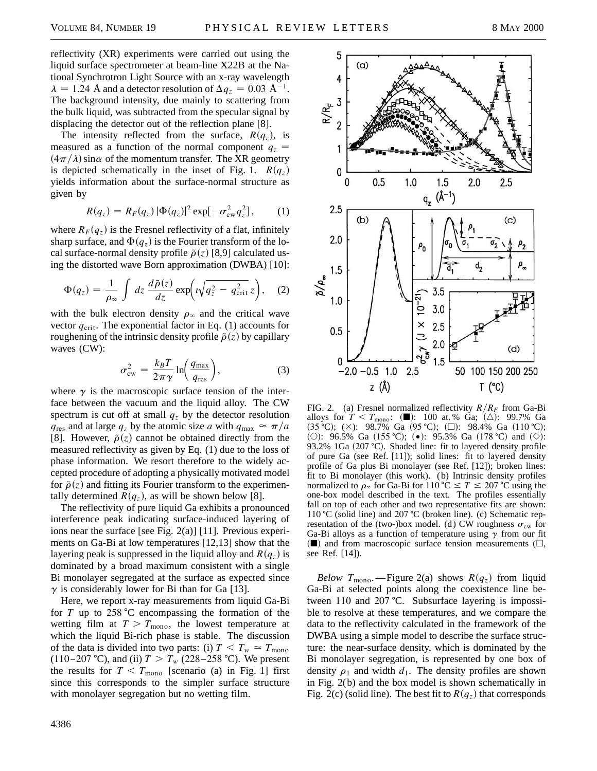reflectivity (XR) experiments were carried out using the liquid surface spectrometer at beam-line X22B at the National Synchrotron Light Source with an x-ray wavelength  $\lambda = 1.24$  Å and a detector resolution of  $\Delta q_z = 0.03$  Å<sup>-1</sup>. The background intensity, due mainly to scattering from the bulk liquid, was subtracted from the specular signal by displacing the detector out of the reflection plane [8].

The intensity reflected from the surface,  $R(q_z)$ , is measured as a function of the normal component  $q_z$  =  $(4\pi/\lambda)$  sin $\alpha$  of the momentum transfer. The XR geometry is depicted schematically in the inset of Fig. 1.  $R(q_z)$ yields information about the surface-normal structure as given by

$$
R(q_z) = R_F(q_z) |\Phi(q_z)|^2 \exp[-\sigma_{\rm cw}^2 q_z^2], \qquad (1)
$$

where  $R_F(q_z)$  is the Fresnel reflectivity of a flat, infinitely sharp surface, and  $\Phi(q_z)$  is the Fourier transform of the local surface-normal density profile  $\tilde{\rho}(z)$  [8,9] calculated using the distorted wave Born approximation (DWBA) [10]:

$$
\Phi(q_z) = \frac{1}{\rho_{\infty}} \int dz \, \frac{d\tilde{\rho}(z)}{dz} \exp\left(i\sqrt{q_z^2 - q_{\rm crit}^2} \, z\right), \quad (2)
$$

with the bulk electron density  $\rho_{\infty}$  and the critical wave vector  $q_{\text{crit}}$ . The exponential factor in Eq. (1) accounts for roughening of the intrinsic density profile  $\tilde{\rho}(z)$  by capillary waves (CW):

$$
\sigma_{\rm cw}^2 = \frac{k_B T}{2\pi\gamma} \ln\left(\frac{q_{\rm max}}{q_{\rm res}}\right),\tag{3}
$$

where  $\gamma$  is the macroscopic surface tension of the interface between the vacuum and the liquid alloy. The CW spectrum is cut off at small  $q<sub>z</sub>$  by the detector resolution  $q_{\text{res}}$  and at large  $q_z$  by the atomic size *a* with  $q_{\text{max}} \approx \pi/a$ [8]. However,  $\tilde{\rho}(z)$  cannot be obtained directly from the measured reflectivity as given by Eq. (1) due to the loss of phase information. We resort therefore to the widely accepted procedure of adopting a physically motivated model for  $\tilde{\rho}(z)$  and fitting its Fourier transform to the experimentally determined  $R(q_z)$ , as will be shown below [8].

The reflectivity of pure liquid Ga exhibits a pronounced interference peak indicating surface-induced layering of ions near the surface [see Fig. 2(a)] [11]. Previous experiments on Ga-Bi at low temperatures [12,13] show that the layering peak is suppressed in the liquid alloy and  $R(q_z)$  is dominated by a broad maximum consistent with a single Bi monolayer segregated at the surface as expected since  $\gamma$  is considerably lower for Bi than for Ga [13].

Here, we report x-ray measurements from liquid Ga-Bi for  $T$  up to 258 °C encompassing the formation of the wetting film at  $T > T_{\text{mono}}$ , the lowest temperature at which the liquid Bi-rich phase is stable. The discussion of the data is divided into two parts: (i)  $T < T_w \approx T_{\text{mono}}$ (110-207 °C), and (ii)  $T > T_w$  (228-258 °C). We present the results for  $T < T_{\text{mono}}$  [scenario (a) in Fig. 1] first since this corresponds to the simpler surface structure with monolayer segregation but no wetting film.



FIG. 2. (a) Fresnel normalized reflectivity  $R/R_F$  from Ga-Bi alloys for  $T < T_{\text{mono}}$ : ( $\blacksquare$ ): 100 at. % Ga; ( $\triangle$ ): 99.7% Ga  $(35 \text{ °C})$ ;  $(\times)$ : 98.7% Ga  $(95 \text{ °C})$ ;  $(\square)$ : 98.4% Ga  $(110 \text{ °C})$ ; (O): 96.5% Ga (155 °C); ( $\bullet$ ): 95.3% Ga (178 °C) and ( $\diamond$ ): 93.2% 1Ga (207 °C). Shaded line: fit to layered density profile of pure Ga (see Ref. [11]); solid lines: fit to layered density profile of Ga plus Bi monolayer (see Ref. [12]); broken lines: fit to Bi monolayer (this work). (b) Intrinsic density profiles normalized to  $\rho_{\infty}$  for Ga-Bi for 110 °C  $\leq T \leq 207$  °C using the one-box model described in the text. The profiles essentially fall on top of each other and two representative fits are shown: 110 °C (solid line) and 207 °C (broken line). (c) Schematic representation of the (two-)box model. (d) CW roughness  $\sigma_{\rm cw}$  for Ga-Bi alloys as a function of temperature using  $\gamma$  from our fit  $(\blacksquare)$  and from macroscopic surface tension measurements ( $\square$ , see Ref. [14]).

*Below*  $T_{\text{mono}}$ . - Figure 2(a) shows  $R(q_z)$  from liquid Ga-Bi at selected points along the coexistence line between 110 and 207 °C. Subsurface layering is impossible to resolve at these temperatures, and we compare the data to the reflectivity calculated in the framework of the DWBA using a simple model to describe the surface structure: the near-surface density, which is dominated by the Bi monolayer segregation, is represented by one box of density  $\rho_1$  and width  $d_1$ . The density profiles are shown in Fig. 2(b) and the box model is shown schematically in Fig. 2(c) (solid line). The best fit to  $R(q_z)$  that corresponds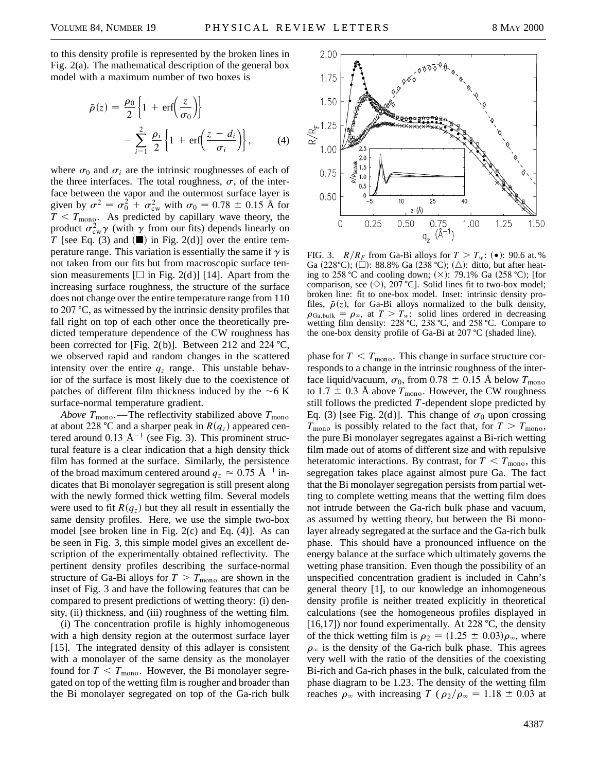to this density profile is represented by the broken lines in Fig. 2(a). The mathematical description of the general box model with a maximum number of two boxes is

$$
\tilde{\rho}(z) = \frac{\rho_0}{2} \left\{ 1 + \text{erf}\left(\frac{z}{\sigma_0}\right) \right\} - \sum_{i=1}^2 \frac{\rho_i}{2} \left\{ 1 + \text{erf}\left(\frac{z - d_i}{\sigma_i}\right) \right\}, \qquad (4)
$$

where  $\sigma_0$  and  $\sigma_i$  are the intrinsic roughnesses of each of the three interfaces. The total roughness,  $\sigma$ , of the interface between the vapor and the outermost surface layer is given by  $\sigma^2 = \sigma_0^2 + \sigma_{\text{cw}}^2$  with  $\sigma_0 = 0.78 \pm 0.15$  Å for  $T < T_{\text{mono}}$ . As predicted by capillary wave theory, the product  $\sigma_{\text{cw}}^2 \gamma$  (with  $\gamma$  from our fits) depends linearly on *T* [see Eq. (3) and  $(\blacksquare)$  in Fig. 2(d)] over the entire temperature range. This variation is essentially the same if  $\gamma$  is not taken from our fits but from macroscopic surface tension measurements  $[\Box]$  in Fig. 2(d)] [14]. Apart from the increasing surface roughness, the structure of the surface does not change over the entire temperature range from 110 to 207  $\degree$ C, as witnessed by the intrinsic density profiles that fall right on top of each other once the theoretically predicted temperature dependence of the CW roughness has been corrected for [Fig. 2(b)]. Between 212 and 224  $^{\circ}$ C, we observed rapid and random changes in the scattered intensity over the entire  $q_z$  range. This unstable behavior of the surface is most likely due to the coexistence of patches of different film thickness induced by the  $\sim$ 6 K surface-normal temperature gradient.

*Above*  $T_{\text{mono}}$ . The reflectivity stabilized above  $T_{\text{mono}}$ at about 228 °C and a sharper peak in  $R(q_z)$  appeared centered around 0.13  $\AA^{-1}$  (see Fig. 3). This prominent structural feature is a clear indication that a high density thick film has formed at the surface. Similarly, the persistence of the broad maximum centered around  $q_z \approx 0.75 \text{ Å}^{-1}$  indicates that Bi monolayer segregation is still present along with the newly formed thick wetting film. Several models were used to fit  $R(q_z)$  but they all result in essentially the same density profiles. Here, we use the simple two-box model [see broken line in Fig. 2(c) and Eq. (4)]. As can be seen in Fig. 3, this simple model gives an excellent description of the experimentally obtained reflectivity. The pertinent density profiles describing the surface-normal structure of Ga-Bi alloys for  $T > T_{\text{mono}}$  are shown in the inset of Fig. 3 and have the following features that can be compared to present predictions of wetting theory: (i) density, (ii) thickness, and (iii) roughness of the wetting film.

(i) The concentration profile is highly inhomogeneous with a high density region at the outermost surface layer [15]. The integrated density of this adlayer is consistent with a monolayer of the same density as the monolayer found for  $T < T_{\text{mono}}$ . However, the Bi monolayer segregated on top of the wetting film is rougher and broader than the Bi monolayer segregated on top of the Ga-rich bulk



FIG. 3. *R*/*R<sub>F</sub>* from Ga-Bi alloys for  $T > T_w$ : (•): 90.6 at. % Ga  $(228^{\circ}\text{C})$ ; ( $\Box$ ): 88.8% Ga  $(238^{\circ}\text{C})$ ; ( $\triangle$ ): ditto, but after heating to 258 °C and cooling down;  $(\times)$ : 79.1% Ga (258 °C); [for comparison, see  $(\diamond)$ , 207 °C]. Solid lines fit to two-box model; broken line: fit to one-box model. Inset: intrinsic density profiles,  $\tilde{\rho}(z)$ , for Ga-Bi alloys normalized to the bulk density,  $\rho_{Ga,bulk} = \rho_{\infty}$ , at  $T > T_w$ : solid lines ordered in decreasing wetting film density:  $228 \text{ °C}$ ,  $238 \text{ °C}$ , and  $258 \text{ °C}$ . Compare to the one-box density profile of Ga-Bi at 207 °C (shaded line).

phase for  $T < T_{\text{mono}}$ . This change in surface structure corresponds to a change in the intrinsic roughness of the interface liquid/vacuum,  $\sigma_0$ , from 0.78  $\pm$  0.15 Å below  $T_{\text{mono}}$ to 1.7  $\pm$  0.3 Å above  $T_{\text{mono}}$ . However, the CW roughness still follows the predicted *T*-dependent slope predicted by Eq. (3) [see Fig. 2(d)]. This change of  $\sigma_0$  upon crossing  $T_{\text{mono}}$  is possibly related to the fact that, for  $T > T_{\text{mono}}$ , the pure Bi monolayer segregates against a Bi-rich wetting film made out of atoms of different size and with repulsive heteratomic interactions. By contrast, for  $T < T_{\text{mono}}$ , this segregation takes place against almost pure Ga. The fact that the Bi monolayer segregation persists from partial wetting to complete wetting means that the wetting film does not intrude between the Ga-rich bulk phase and vacuum, as assumed by wetting theory, but between the Bi monolayer already segregated at the surface and the Ga-rich bulk phase. This should have a pronounced influence on the energy balance at the surface which ultimately governs the wetting phase transition. Even though the possibility of an unspecified concentration gradient is included in Cahn's general theory [1], to our knowledge an inhomogeneous density profile is neither treated explicitly in theoretical calculations (see the homogeneous profiles displayed in [16,17]) nor found experimentally. At 228  $^{\circ}$ C, the density of the thick wetting film is  $\rho_2 = (1.25 \pm 0.03)\rho_\infty$ , where  $\rho_{\infty}$  is the density of the Ga-rich bulk phase. This agrees very well with the ratio of the densities of the coexisting Bi-rich and Ga-rich phases in the bulk, calculated from the phase diagram to be 1.23. The density of the wetting film reaches  $\rho_{\infty}$  with increasing *T* ( $\rho_2/\rho_{\infty} = 1.18 \pm 0.03$  at